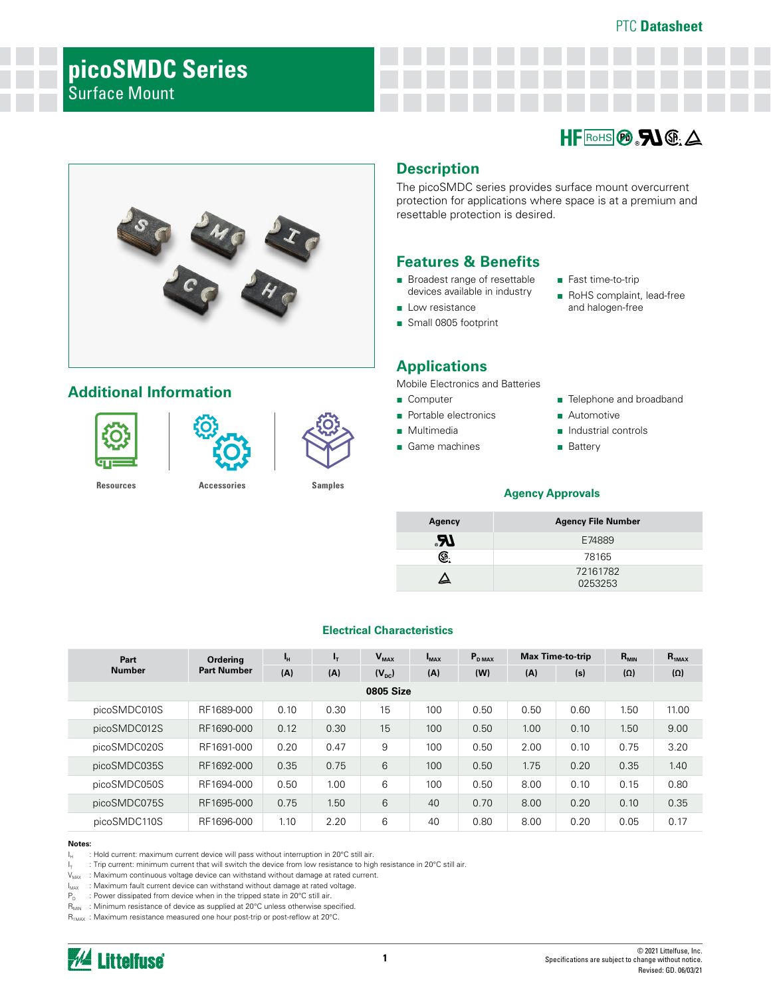# **picoSMDC Series**

# Surface Mount





# **Additional Information**





**[Resources](https://www.littelfuse.com/products/polyswitch-resettable-ptcs/surface-mount/picosmd.aspx#TechnicalResources) [Accessories](https://www.littelfuse.com/products/polyswitch-resettable-ptcs/surface-mount/picosmd.aspx#EnvironmentalInfo) [Samples](https://www.littelfuse.com/products/polyswitch-resettable-ptcs/surface-mount/picosmd.aspx#ElectricalCharacteristics)**

## **Description**

The picoSMDC series provides surface mount overcurrent protection for applications where space is at a premium and resettable protection is desired.

## **Features & Benefits**

- Broadest range of resettable devices available in industry
- Low resistance ■ Small 0805 footprint
	-

Mobile Electronics and Batteries **Applications** 

- Computer
- 
- Portable electronics
- Multimedia ■ Game machines
- 
- Fast time-to-trip
- RoHS complaint, lead-free and halogen-free

■ Telephone and broadband

# ■ Battery

■ Automotive ■ Industrial controls

#### **Agency Approvals**

| Agency | <b>Agency File Number</b> |
|--------|---------------------------|
| .AJ    | E74889                    |
| SP.    | 78165                     |
|        | 72161782<br>0253253       |

#### **Electrical Characteristics**

| Part             | Ordering           | Чн   | $I_{\rm T}$ | $V_{MAX}$      | $I_{MAX}$ | $P_{DMAX}$ |      | <b>Max Time-to-trip</b> | $R_{MIN}$  | $R_{1MAX}$ |
|------------------|--------------------|------|-------------|----------------|-----------|------------|------|-------------------------|------------|------------|
| Number           | <b>Part Number</b> | (A)  | (A)         | $(V_{\rm pc})$ | (A)       | (W)        | (A)  | (s)                     | $(\Omega)$ | $(\Omega)$ |
| <b>0805 Size</b> |                    |      |             |                |           |            |      |                         |            |            |
| picoSMDC010S     | RF1689-000         | 0.10 | 0.30        | 15             | 100       | 0.50       | 0.50 | 0.60                    | 1.50       | 11.00      |
| picoSMDC012S     | RF1690-000         | 0.12 | 0.30        | 15             | 100       | 0.50       | 1.00 | 0.10                    | 1.50       | 9.00       |
| picoSMDC020S     | RF1691-000         | 0.20 | 0.47        | 9              | 100       | 0.50       | 2.00 | 0.10                    | 0.75       | 3.20       |
| picoSMDC035S     | RF1692-000         | 0.35 | 0.75        | 6              | 100       | 0.50       | 1.75 | 0.20                    | 0.35       | 1.40       |
| picoSMDC050S     | RF1694-000         | 0.50 | 1.00        | 6              | 100       | 0.50       | 8.00 | 0.10                    | 0.15       | 0.80       |
| picoSMDC075S     | RF1695-000         | 0.75 | 1.50        | 6              | 40        | 0.70       | 8.00 | 0.20                    | 0.10       | 0.35       |
| picoSMDC110S     | RF1696-000         | 1.10 | 2.20        | 6              | 40        | 0.80       | 8.00 | 0.20                    | 0.05       | 0.17       |

#### **Notes:**

 $I_H$  : Hold current: maximum current device will pass without interruption in 20°C still air.

I<sub>T</sub> : Trip current: minimum current that will switch the device from low resistance to high resistance in 20°C still air.

 $V_{MAX}$  : Maximum continuous voltage device can withstand without damage at rated current.

 $I_{\text{MAX}}$  : Maximum fault current device can withstand without damage at rated voltage.

 $P_D$  : Power dissipated from device when in the tripped state in 20 $\degree$ C still air.

 $R_{MIN}$  : Minimum resistance of device as supplied at 20°C unless otherwise specified.

R<sub>1MAX</sub> : Maximum resistance measured one hour post-trip or post-reflow at 20°C.

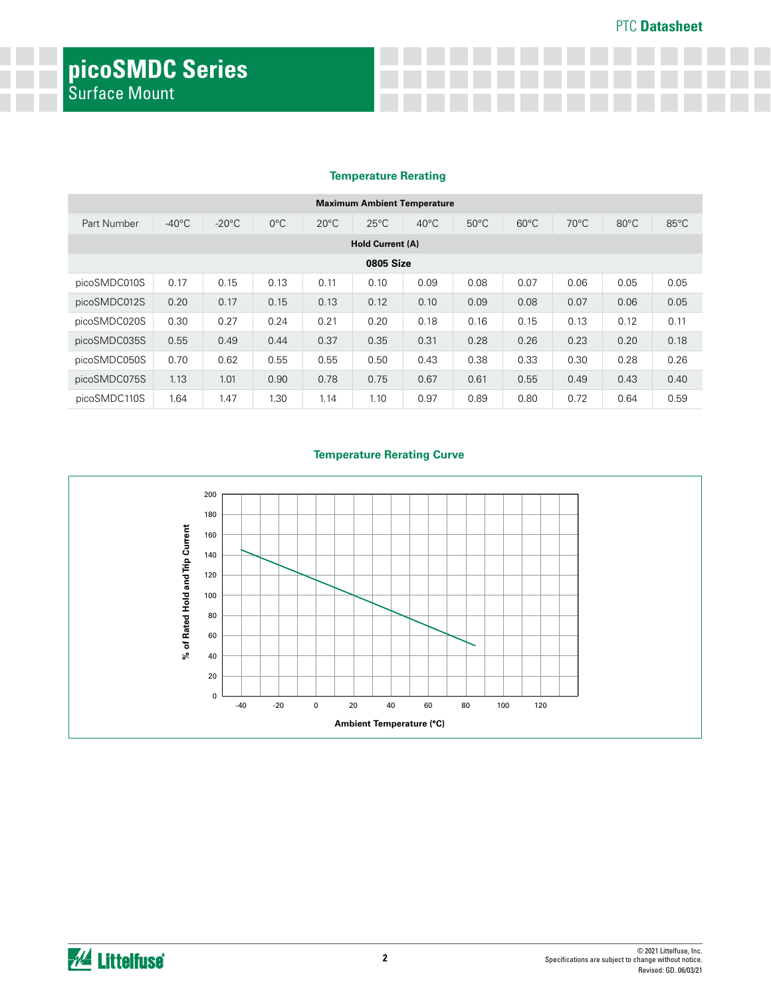#### **Temperature Rerating**

| <b>Maximum Ambient Temperature</b> |                  |                 |               |                |                |                |                |                |                |                |                |
|------------------------------------|------------------|-----------------|---------------|----------------|----------------|----------------|----------------|----------------|----------------|----------------|----------------|
| Part Number                        | $-40^{\circ}$ C  | $-20^{\circ}$ C | $0^{\circ}$ C | $20^{\circ}$ C | $25^{\circ}$ C | $40^{\circ}$ C | $50^{\circ}$ C | $60^{\circ}$ C | $70^{\circ}$ C | $80^{\circ}$ C | $85^{\circ}$ C |
| Hold Current (A)                   |                  |                 |               |                |                |                |                |                |                |                |                |
|                                    | <b>0805 Size</b> |                 |               |                |                |                |                |                |                |                |                |
| picoSMDC010S                       | 0.17             | 0.15            | 0.13          | 0.11           | 0.10           | 0.09           | 0.08           | 0.07           | 0.06           | 0.05           | 0.05           |
| picoSMDC012S                       | 0.20             | 0.17            | 0.15          | 0.13           | 0.12           | 0.10           | 0.09           | 0.08           | 0.07           | 0.06           | 0.05           |
| picoSMDC020S                       | 0.30             | 0.27            | 0.24          | 0.21           | 0.20           | 0.18           | 0.16           | 0.15           | 0.13           | 0.12           | 0.11           |
| picoSMDC035S                       | 0.55             | 0.49            | 0.44          | 0.37           | 0.35           | 0.31           | 0.28           | 0.26           | 0.23           | 0.20           | 0.18           |
| picoSMDC050S                       | 0.70             | 0.62            | 0.55          | 0.55           | 0.50           | 0.43           | 0.38           | 0.33           | 0.30           | 0.28           | 0.26           |
| picoSMDC075S                       | 1.13             | 1.01            | 0.90          | 0.78           | 0.75           | 0.67           | 0.61           | 0.55           | 0.49           | 0.43           | 0.40           |
| picoSMDC110S                       | 1.64             | 1.47            | 1.30          | 1.14           | 1.10           | 0.97           | 0.89           | 0.80           | 0.72           | 0.64           | 0.59           |

#### **Temperature Rerating Curve**

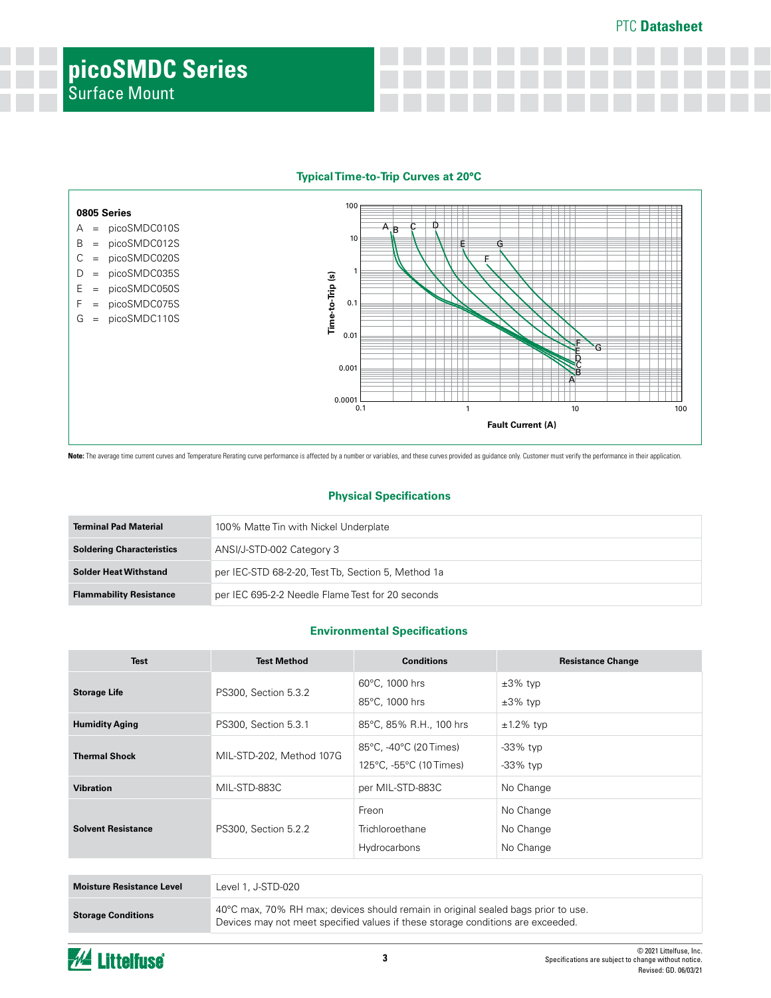PTC **Datasheet**





Note: The average time current curves and Temperature Rerating curve performance is affected by a number or variables, and these curves provided as guidance only. Customer must verify the performance in their application.

#### **Physical Specifications**

| <b>Terminal Pad Material</b>     | 100% Matte Tin with Nickel Underplate              |
|----------------------------------|----------------------------------------------------|
| <b>Soldering Characteristics</b> | ANSI/J-STD-002 Category 3                          |
| <b>Solder Heat Withstand</b>     | per IEC-STD 68-2-20, Test Tb, Section 5, Method 1a |
| <b>Flammability Resistance</b>   | per IEC 695-2-2 Needle Flame Test for 20 seconds   |

#### **Environmental Specifications**

| <b>Test</b>               | <b>Test Method</b>       | <b>Conditions</b>                                 | <b>Resistance Change</b>            |
|---------------------------|--------------------------|---------------------------------------------------|-------------------------------------|
| <b>Storage Life</b>       | PS300, Section 5.3.2     | 60°C, 1000 hrs<br>85°C, 1000 hrs                  | $\pm 3\%$ typ<br>$\pm 3\%$ typ      |
| <b>Humidity Aging</b>     | PS300, Section 5.3.1     | 85°C, 85% R.H., 100 hrs                           | $±1.2\%$ typ                        |
| <b>Thermal Shock</b>      | MIL-STD-202, Method 107G | 85°C, -40°C (20 Times)<br>125°C, -55°C (10 Times) | -33% typ<br>$-33\%$ typ             |
| <b>Vibration</b>          | MIL-STD-883C             | per MIL-STD-883C                                  | No Change                           |
| <b>Solvent Resistance</b> | PS300, Section 5.2.2     | Freon<br>Trichloroethane<br>Hydrocarbons          | No Change<br>No Change<br>No Change |
|                           |                          |                                                   |                                     |
| Mojsture Resistance Level | $P(A 1   STD-020)$       |                                                   |                                     |

| <b>Moisture Resistance Level</b> | Level 1, J-STD-020                                                                                                                                                             |
|----------------------------------|--------------------------------------------------------------------------------------------------------------------------------------------------------------------------------|
| <b>Storage Conditions</b>        | $40^{\circ}$ C max, 70% RH max; devices should remain in original sealed bags prior to use.<br>Devices may not meet specified values if these storage conditions are exceeded. |

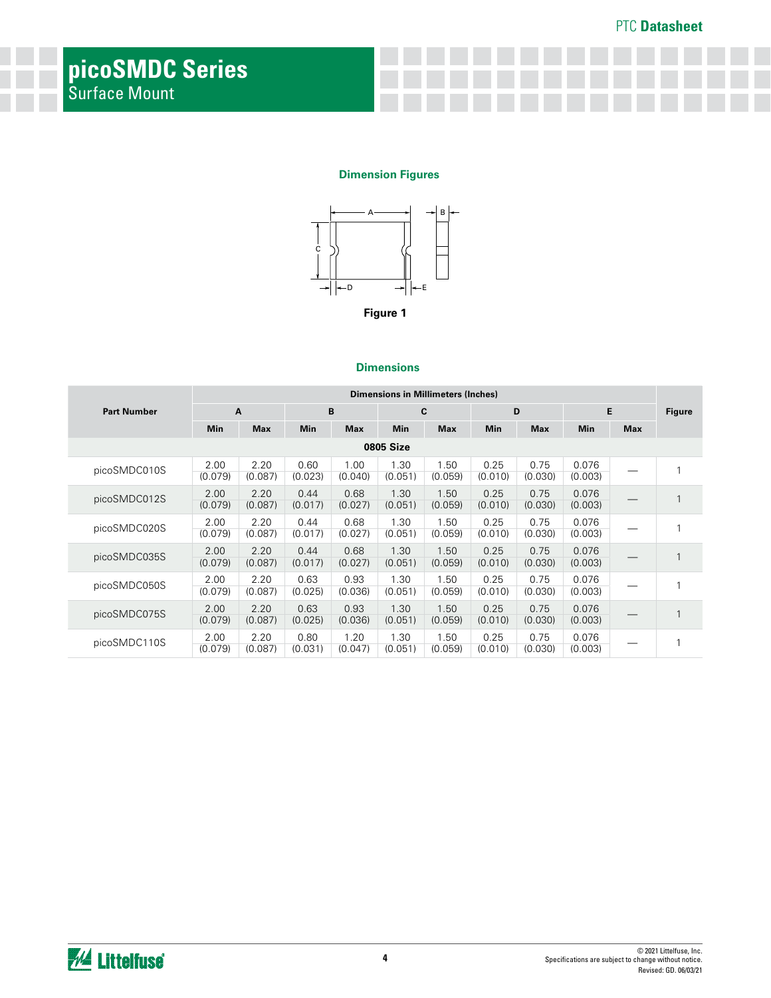#### **Dimension Figures**



#### **Dimensions**

|                    | Dimensions in Millimeters (Inches) |                 |                 |                 |                  |                 |                 |                 |                  |            |               |
|--------------------|------------------------------------|-----------------|-----------------|-----------------|------------------|-----------------|-----------------|-----------------|------------------|------------|---------------|
| <b>Part Number</b> |                                    | A               |                 | B               |                  | C               |                 | D               | E                |            | <b>Figure</b> |
|                    | <b>Min</b>                         | <b>Max</b>      | <b>Min</b>      | <b>Max</b>      | <b>Min</b>       | <b>Max</b>      | <b>Min</b>      | <b>Max</b>      | Min              | <b>Max</b> |               |
|                    |                                    |                 |                 |                 | <b>0805 Size</b> |                 |                 |                 |                  |            |               |
| picoSMDC010S       | 2.00<br>(0.079)                    | 2.20<br>(0.087) | 0.60<br>(0.023) | 1.00<br>(0.040) | 1.30<br>(0.051)  | 1.50<br>(0.059) | 0.25<br>(0.010) | 0.75<br>(0.030) | 0.076<br>(0.003) |            |               |
| picoSMDC012S       | 2.00<br>(0.079)                    | 2.20<br>(0.087) | 0.44<br>(0.017) | 0.68<br>(0.027) | 1.30<br>(0.051)  | 1.50<br>(0.059) | 0.25<br>(0.010) | 0.75<br>(0.030) | 0.076<br>(0.003) |            |               |
| picoSMDC020S       | 2.00<br>(0.079)                    | 2.20<br>(0.087) | 0.44<br>(0.017) | 0.68<br>(0.027) | 1.30<br>(0.051)  | 1.50<br>(0.059) | 0.25<br>(0.010) | 0.75<br>(0.030) | 0.076<br>(0.003) |            |               |
| picoSMDC035S       | 2.00<br>(0.079)                    | 2.20<br>(0.087) | 0.44<br>(0.017) | 0.68<br>(0.027) | 1.30<br>(0.051)  | 1.50<br>(0.059) | 0.25<br>(0.010) | 0.75<br>(0.030) | 0.076<br>(0.003) |            | 1             |
| picoSMDC050S       | 2.00<br>(0.079)                    | 2.20<br>(0.087) | 0.63<br>(0.025) | 0.93<br>(0.036) | 1.30<br>(0.051)  | 1.50<br>(0.059) | 0.25<br>(0.010) | 0.75<br>(0.030) | 0.076<br>(0.003) |            |               |
| picoSMDC075S       | 2.00<br>(0.079)                    | 2.20<br>(0.087) | 0.63<br>(0.025) | 0.93<br>(0.036) | 1.30<br>(0.051)  | 1.50<br>(0.059) | 0.25<br>(0.010) | 0.75<br>(0.030) | 0.076<br>(0.003) |            |               |
| picoSMDC110S       | 2.00<br>(0.079)                    | 2.20<br>(0.087) | 0.80<br>(0.031) | 1.20<br>(0.047) | 1.30<br>(0.051)  | 1.50<br>(0.059) | 0.25<br>(0.010) | 0.75<br>(0.030) | 0.076<br>(0.003) |            |               |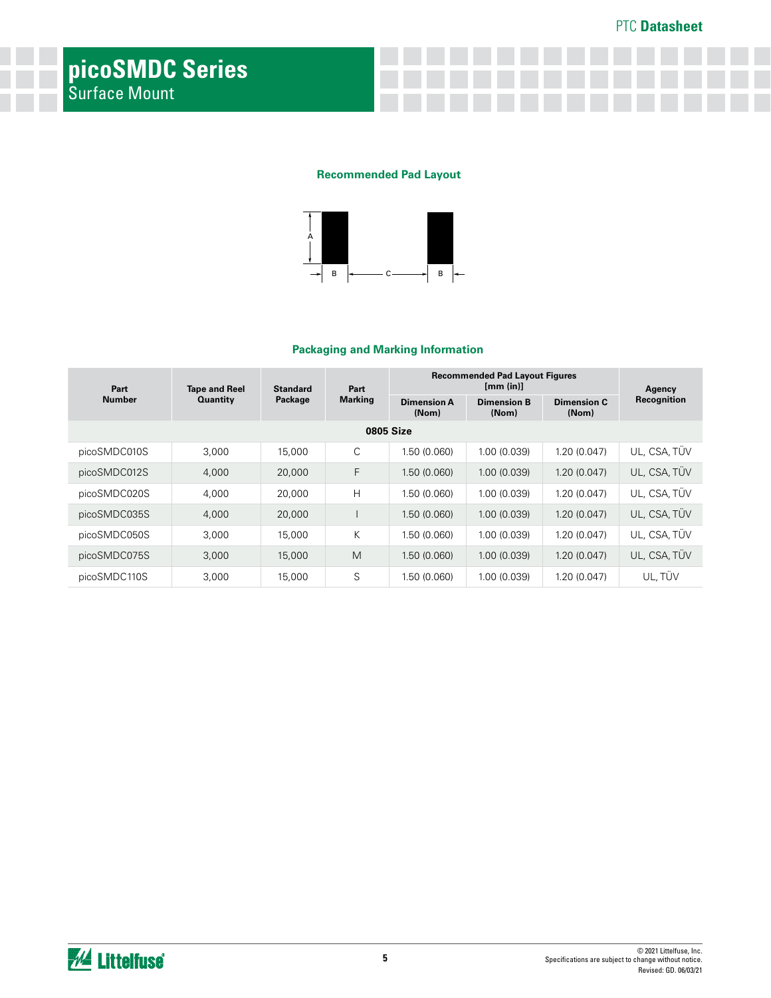#### **Recommended Pad Layout**



#### **Packaging and Marking Information**

| Part          | <b>Tape and Reel</b> | <b>Standard</b> | Part<br><b>Marking</b> | <b>Recommended Pad Layout Figures</b> | Agency                      |                      |              |
|---------------|----------------------|-----------------|------------------------|---------------------------------------|-----------------------------|----------------------|--------------|
| <b>Number</b> | <b>Quantity</b>      | Package         |                        | <b>Dimension A</b><br>(Nom)           | <b>Dimension B</b><br>(Nom) | Dimension C<br>(Nom) | Recognition  |
|               |                      |                 |                        | 0805 Size                             |                             |                      |              |
| picoSMDC010S  | 3,000                | 15,000          | C                      | 1.50 (0.060)                          | 1.00 (0.039)                | 1.20 (0.047)         | UL. CSA. TÜV |
| picoSMDC012S  | 4,000                | 20,000          | F                      | 1.50(0.060)                           | 1.00(0.039)                 | 1.20(0.047)          | UL, CSA, TÜV |
| picoSMDC020S  | 4,000                | 20,000          | H                      | 1.50 (0.060)                          | 1.00 (0.039)                | 1.20 (0.047)         | UL, CSA, TÜV |
| picoSMDC035S  | 4,000                | 20,000          |                        | 1.50 (0.060)                          | 1.00 (0.039)                | 1.20(0.047)          | UL. CSA. TÜV |
| picoSMDC050S  | 3,000                | 15,000          | K                      | 1.50 (0.060)                          | 1.00 (0.039)                | 1.20 (0.047)         | UL, CSA, TÜV |
| picoSMDC075S  | 3,000                | 15,000          | M                      | 1.50 (0.060)                          | 1.00 (0.039)                | 1.20(0.047)          | UL. CSA. TUV |
| picoSMDC110S  | 3,000                | 15,000          | S                      | 1.50 (0.060)                          | 1.00 (0.039)                | 1.20(0.047)          | UL.TÜV       |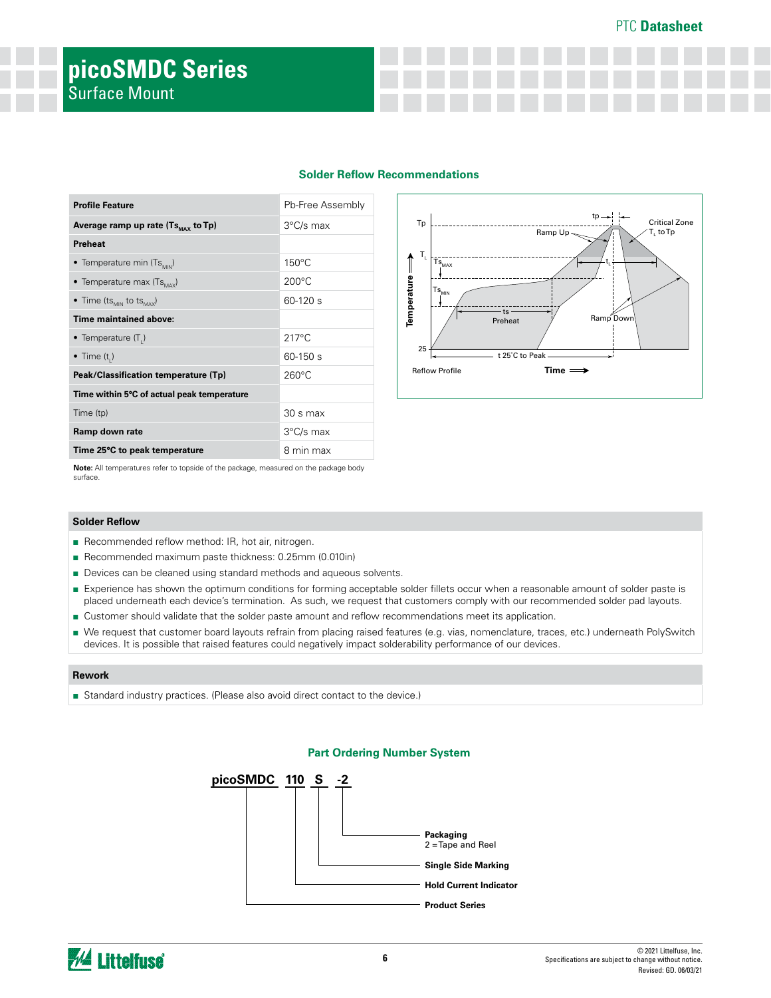#### PTC **Datasheet**

|  |  |  | <b>Solder Reflow Recommendations</b> |
|--|--|--|--------------------------------------|
|--|--|--|--------------------------------------|

| <b>Profile Feature</b>                           | Pb-Free Assembly |
|--------------------------------------------------|------------------|
| Average ramp up rate $(Ts_{\text{max}}$ to Tp)   | 3°C/s max        |
| Preheat                                          |                  |
| • Temperature min (Ts <sub>MIN</sub> )           | $150^{\circ}$ C  |
| • Temperature max $(Ts_{\text{max}})$            | $200^{\circ}$ C  |
| • Time (ts <sub>MIN</sub> to ts <sub>MAX</sub> ) | $60-120$ s       |
| Time maintained above:                           |                  |
| • Temperature $(T_1)$                            | $217^{\circ}$ C  |
| • Time $(ti)$                                    | $60 - 150$ s     |
| Peak/Classification temperature (Tp)             | $260^{\circ}$ C  |
| Time within 5°C of actual peak temperature       |                  |
| Time (tp)                                        | $30 s$ max       |
| Ramp down rate                                   | 3°C/s max        |
| Time 25°C to peak temperature                    | 8 min max        |



**Note:** All temperatures refer to topside of the package, measured on the package body surface.

#### **Solder Reflow**

- Recommended reflow method: IR, hot air, nitrogen.
- Recommended maximum paste thickness: 0.25mm (0.010in)
- Devices can be cleaned using standard methods and aqueous solvents.
- Experience has shown the optimum conditions for forming acceptable solder fillets occur when a reasonable amount of solder paste is placed underneath each device's termination. As such, we request that customers comply with our recommended solder pad layouts.
- Customer should validate that the solder paste amount and reflow recommendations meet its application.
- We request that customer board layouts refrain from placing raised features (e.g. vias, nomenclature, traces, etc.) underneath PolySwitch devices. It is possible that raised features could negatively impact solderability performance of our devices.

#### **Rework**

■ Standard industry practices. (Please also avoid direct contact to the device.)

#### **Part Ordering Number System**



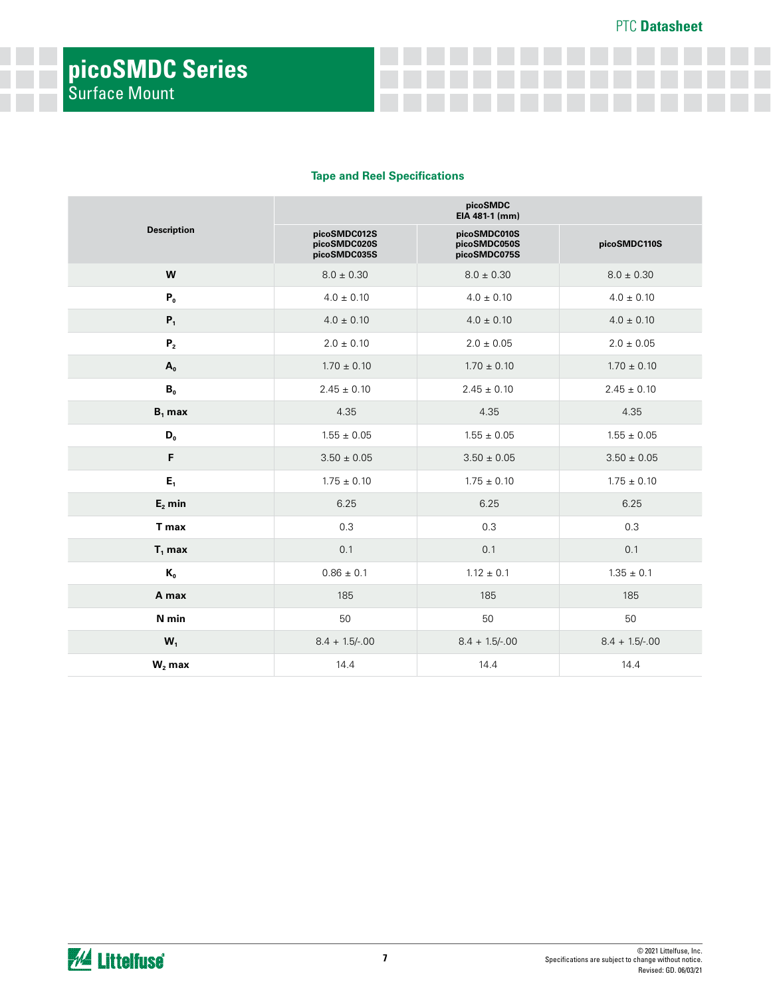#### **Tape and Reel Specifications**

|                    | picoSMDC<br>EIA 481-1 (mm)                   |                                              |                 |  |  |  |  |
|--------------------|----------------------------------------------|----------------------------------------------|-----------------|--|--|--|--|
| <b>Description</b> | picoSMDC012S<br>picoSMDC020S<br>picoSMDC035S | picoSMDC010S<br>picoSMDC050S<br>picoSMDC075S | picoSMDC110S    |  |  |  |  |
| W                  | $8.0 \pm 0.30$                               | $8.0 \pm 0.30$                               | $8.0 \pm 0.30$  |  |  |  |  |
| P <sub>0</sub>     | $4.0 \pm 0.10$                               | $4.0\pm0.10$                                 | $4.0 \pm 0.10$  |  |  |  |  |
| $P_1$              | $4.0 \pm 0.10$                               | $4.0 \pm 0.10$                               | $4.0 \pm 0.10$  |  |  |  |  |
| ${\bf P}_2$        | $2.0 \pm 0.10$                               | $2.0 \pm 0.05$                               | $2.0 \pm 0.05$  |  |  |  |  |
| $A_0$              | $1.70 \pm 0.10$                              | $1.70 \pm 0.10$                              | $1.70 \pm 0.10$ |  |  |  |  |
| B <sub>0</sub>     | $2.45 \pm 0.10$                              | $2.45 \pm 0.10$                              | $2.45 \pm 0.10$ |  |  |  |  |
| $B_1$ max          | 4.35                                         | 4.35                                         | 4.35            |  |  |  |  |
| $D_{0}$            | $1.55 \pm 0.05$                              | $1.55 \pm 0.05$                              | $1.55 \pm 0.05$ |  |  |  |  |
| F                  | $3.50 \pm 0.05$                              | $3.50\pm0.05$                                | $3.50\pm0.05$   |  |  |  |  |
| $E_1$              | $1.75 \pm 0.10$                              | $1.75 \pm 0.10$                              | $1.75 \pm 0.10$ |  |  |  |  |
| $E_2$ min          | 6.25                                         | 6.25                                         | 6.25            |  |  |  |  |
| T max              | 0.3                                          | 0.3                                          | 0.3             |  |  |  |  |
| $T_1$ max          | 0.1                                          | 0.1                                          | 0.1             |  |  |  |  |
| $K_{0}$            | $0.86 \pm 0.1$                               | $1.12 \pm 0.1$                               | $1.35 \pm 0.1$  |  |  |  |  |
| A max              | 185                                          | 185                                          | 185             |  |  |  |  |
| N min              | 50                                           | 50                                           | 50              |  |  |  |  |
| $W_1$              | $8.4 + 1.5/-00$                              | $8.4 + 1.5/-00$                              | $8.4 + 1.5/-00$ |  |  |  |  |
| $W_2$ max          | 14.4                                         | 14.4                                         | 14.4            |  |  |  |  |